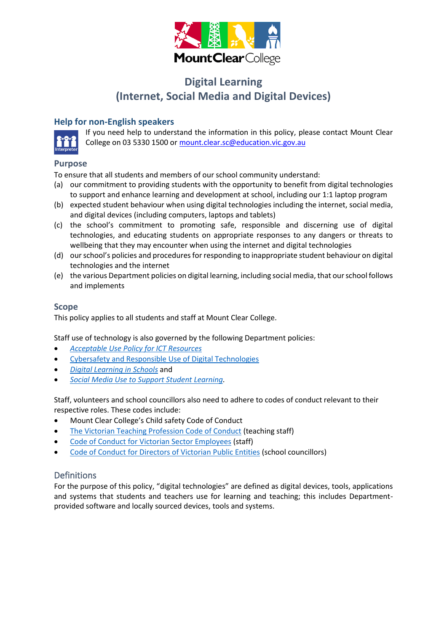

# **Digital Learning (Internet, Social Media and Digital Devices)**

## **Help for non-English speakers**



If you need help to understand the information in this policy, please contact Mount Clear College on 03 5330 1500 o[r mount.clear.sc@education.vic.gov.au](mailto:mount.clear.sc@education.vic.gov.au)

### **Purpose**

To ensure that all students and members of our school community understand:

- (a) our commitment to providing students with the opportunity to benefit from digital technologies to support and enhance learning and development at school, including our 1:1 laptop program
- (b) expected student behaviour when using digital technologies including the internet, social media, and digital devices (including computers, laptops and tablets)
- (c) the school's commitment to promoting safe, responsible and discerning use of digital technologies, and educating students on appropriate responses to any dangers or threats to wellbeing that they may encounter when using the internet and digital technologies
- (d) our school's policies and procedures for responding to inappropriate student behaviour on digital technologies and the internet
- (e) the various Department policies on digital learning, including social media, that our school follows and implements

#### **Scope**

This policy applies to all students and staff at Mount Clear College.

Staff use of technology is also governed by the following Department policies:

- *[Acceptable Use Policy](https://www2.education.vic.gov.au/pal/ict-acceptable-use/overview) for ICT Resources*
- [Cybersafety and Responsible Use of Digital Technologies](https://www2.education.vic.gov.au/pal/cybersafety/policy)
- *[Digital Learning in Schools](https://www2.education.vic.gov.au/pal/digital-learning/policy)* and
- *[Social Media Use to Support Student Learning.](https://www2.education.vic.gov.au/pal/social-media/policy)*

Staff, volunteers and school councillors also need to adhere to codes of conduct relevant to their respective roles. These codes include:

- Mount Clear College's Child safety Code of Conduct
- [The Victorian Teaching Profession Code of Conduct](https://www.vit.vic.edu.au/__data/assets/pdf_file/0018/35604/Code-of-Conduct-2016.pdf) (teaching staff)
- [Code of Conduct for Victorian Sector Employees](https://www2.education.vic.gov.au/pal/code-conduct/overview) (staff)
- [Code of Conduct for Directors of Victorian](https://www2.education.vic.gov.au/pal/school-council-conduct/policy) Public Entities (school councillors)

## Definitions

For the purpose of this policy, "digital technologies" are defined as digital devices, tools, applications and systems that students and teachers use for learning and teaching; this includes Departmentprovided software and locally sourced devices, tools and systems.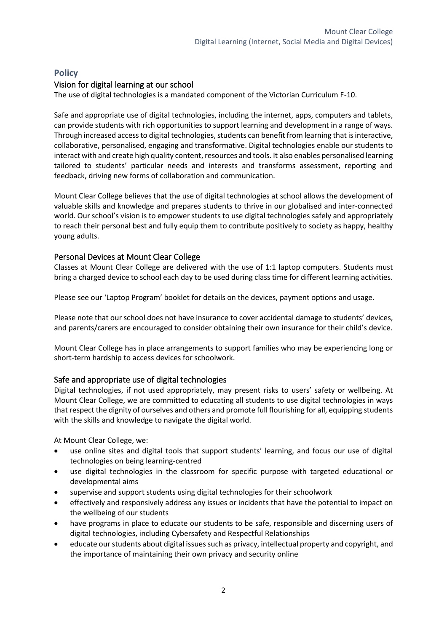## **Policy**

## Vision for digital learning at our school

The use of digital technologies is a mandated component of the Victorian Curriculum F-10.

Safe and appropriate use of digital technologies, including the internet, apps, computers and tablets, can provide students with rich opportunities to support learning and development in a range of ways. Through increased access to digital technologies, students can benefit from learning that is interactive, collaborative, personalised, engaging and transformative. Digital technologies enable our students to interact with and create high quality content, resources and tools. It also enables personalised learning tailored to students' particular needs and interests and transforms assessment, reporting and feedback, driving new forms of collaboration and communication.

Mount Clear College believes that the use of digital technologies at school allows the development of valuable skills and knowledge and prepares students to thrive in our globalised and inter-connected world. Our school's vision is to empower students to use digital technologies safely and appropriately to reach their personal best and fully equip them to contribute positively to society as happy, healthy young adults.

## Personal Devices at Mount Clear College

Classes at Mount Clear College are delivered with the use of 1:1 laptop computers. Students must bring a charged device to school each day to be used during class time for different learning activities.

Please see our 'Laptop Program' booklet for details on the devices, payment options and usage.

Please note that our school does not have insurance to cover accidental damage to students' devices, and parents/carers are encouraged to consider obtaining their own insurance for their child's device.

Mount Clear College has in place arrangements to support families who may be experiencing long or short-term hardship to access devices for schoolwork.

### Safe and appropriate use of digital technologies

Digital technologies, if not used appropriately, may present risks to users' safety or wellbeing. At Mount Clear College, we are committed to educating all students to use digital technologies in ways that respect the dignity of ourselves and others and promote full flourishing for all, equipping students with the skills and knowledge to navigate the digital world.

At Mount Clear College, we:

- use online sites and digital tools that support students' learning, and focus our use of digital technologies on being learning-centred
- use digital technologies in the classroom for specific purpose with targeted educational or developmental aims
- supervise and support students using digital technologies for their schoolwork
- effectively and responsively address any issues or incidents that have the potential to impact on the wellbeing of our students
- have programs in place to educate our students to be safe, responsible and discerning users of digital technologies, including Cybersafety and Respectful Relationships
- educate our students about digital issues such as privacy, intellectual property and copyright, and the importance of maintaining their own privacy and security online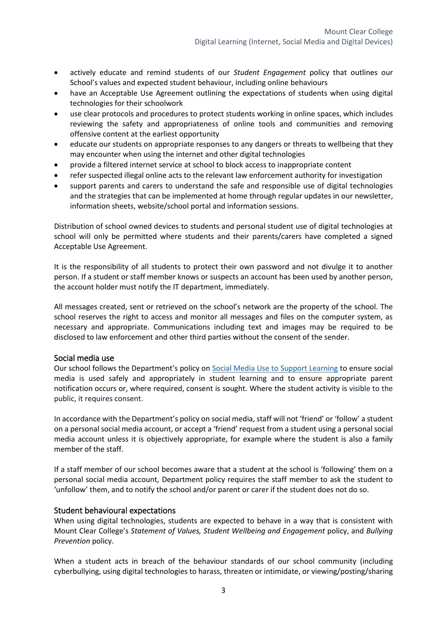- actively educate and remind students of our *Student Engagement* policy that outlines our School's values and expected student behaviour, including online behaviours
- have an Acceptable Use Agreement outlining the expectations of students when using digital technologies for their schoolwork
- use clear protocols and procedures to protect students working in online spaces, which includes reviewing the safety and appropriateness of online tools and communities and removing offensive content at the earliest opportunity
- educate our students on appropriate responses to any dangers or threats to wellbeing that they may encounter when using the internet and other digital technologies
- provide a filtered internet service at school to block access to inappropriate content
- refer suspected illegal online acts to the relevant law enforcement authority for investigation
- support parents and carers to understand the safe and responsible use of digital technologies and the strategies that can be implemented at home through regular updates in our newsletter, information sheets, website/school portal and information sessions.

Distribution of school owned devices to students and personal student use of digital technologies at school will only be permitted where students and their parents/carers have completed a signed Acceptable Use Agreement.

It is the responsibility of all students to protect their own password and not divulge it to another person. If a student or staff member knows or suspects an account has been used by another person, the account holder must notify the IT department, immediately.

All messages created, sent or retrieved on the school's network are the property of the school. The school reserves the right to access and monitor all messages and files on the computer system, as necessary and appropriate. Communications including text and images may be required to be disclosed to law enforcement and other third parties without the consent of the sender.

#### Social media use

Our school follows the Department's policy on [Social Media Use to Support Learning](https://www2.education.vic.gov.au/pal/social-media/policy) to ensure social media is used safely and appropriately in student learning and to ensure appropriate parent notification occurs or, where required, consent is sought. Where the student activity is visible to the public, it requires consent.

In accordance with the Department's policy on social media, staff will not 'friend' or 'follow' a student on a personal social media account, or accept a 'friend' request from a student using a personal social media account unless it is objectively appropriate, for example where the student is also a family member of the staff.

If a staff member of our school becomes aware that a student at the school is 'following' them on a personal social media account, Department policy requires the staff member to ask the student to 'unfollow' them, and to notify the school and/or parent or carer if the student does not do so.

#### Student behavioural expectations

When using digital technologies, students are expected to behave in a way that is consistent with Mount Clear College's *Statement of Values, Student Wellbeing and Engagement* policy, and *Bullying Prevention* policy.

When a student acts in breach of the behaviour standards of our school community (including cyberbullying, using digital technologies to harass, threaten or intimidate, or viewing/posting/sharing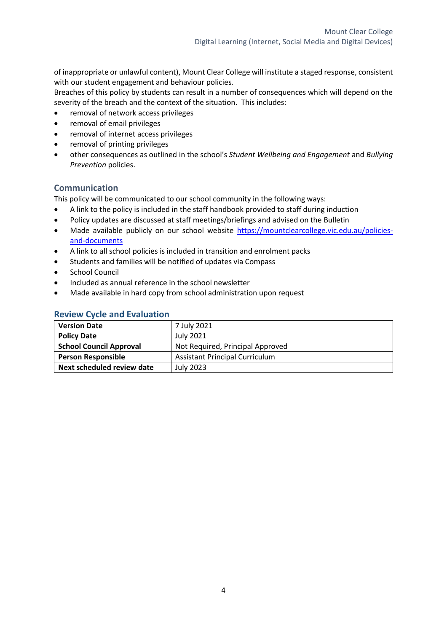of inappropriate or unlawful content), Mount Clear College will institute a staged response, consistent with our student engagement and behaviour policies*.*

Breaches of this policy by students can result in a number of consequences which will depend on the severity of the breach and the context of the situation. This includes:

- removal of network access privileges
- removal of email privileges
- removal of internet access privileges
- removal of printing privileges
- other consequences as outlined in the school's *Student Wellbeing and Engagement* and *Bullying Prevention* policies.

#### **Communication**

This policy will be communicated to our school community in the following ways:

- A link to the policy is included in the staff handbook provided to staff during induction
- Policy updates are discussed at staff meetings/briefings and advised on the Bulletin
- Made available publicly on our school website [https://mountclearcollege.vic.edu.au/policies](https://mountclearcollege.vic.edu.au/policies-and-documents)[and-documents](https://mountclearcollege.vic.edu.au/policies-and-documents)
- A link to all school policies is included in transition and enrolment packs
- Students and families will be notified of updates via Compass
- School Council
- Included as annual reference in the school newsletter
- Made available in hard copy from school administration upon request

| <b>Version Date</b>            | 7 July 2021                           |  |
|--------------------------------|---------------------------------------|--|
| <b>Policy Date</b>             | July 2021                             |  |
| <b>School Council Approval</b> | Not Required, Principal Approved      |  |
| <b>Person Responsible</b>      | <b>Assistant Principal Curriculum</b> |  |
| Next scheduled review date     | <b>July 2023</b>                      |  |

### **Review Cycle and Evaluation**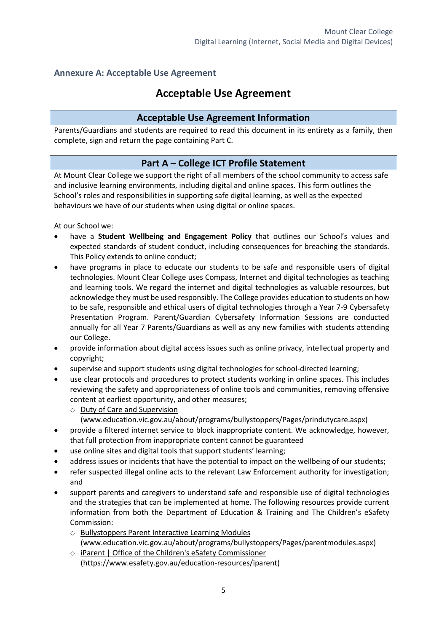## **Annexure A: Acceptable Use Agreement**

# **Acceptable Use Agreement**

## **Acceptable Use Agreement Information**

Parents/Guardians and students are required to read this document in its entirety as a family, then complete, sign and return the page containing Part C.

## **Part A – College ICT Profile Statement**

At Mount Clear College we support the right of all members of the school community to access safe and inclusive learning environments, including digital and online spaces. This form outlines the School's roles and responsibilities in supporting safe digital learning, as well as the expected behaviours we have of our students when using digital or online spaces.

At our School we:

- have a **Student Wellbeing and Engagement Policy** that outlines our School's values and expected standards of student conduct, including consequences for breaching the standards. This Policy extends to online conduct;
- have programs in place to educate our students to be safe and responsible users of digital technologies. Mount Clear College uses Compass, Internet and digital technologies as teaching and learning tools. We regard the internet and digital technologies as valuable resources, but acknowledge they must be used responsibly. The College provides education to students on how to be safe, responsible and ethical users of digital technologies through a Year 7-9 Cybersafety Presentation Program. Parent/Guardian Cybersafety Information Sessions are conducted annually for all Year 7 Parents/Guardians as well as any new families with students attending our College.
- provide information about digital access issues such as online privacy, intellectual property and copyright;
- supervise and support students using digital technologies for school-directed learning;
- use clear protocols and procedures to protect students working in online spaces. This includes reviewing the safety and appropriateness of online tools and communities, removing offensive content at earliest opportunity, and other measures;
	- o [Duty of Care and Supervision](http://www.education.vic.gov.au/about/programs/bullystoppers/Pages/prindutycare.aspx) 
		- [\(www.education.vic.gov.au/about/programs/bullystoppers/Pages/prindutycare.aspx\)](http://www.education.vic.gov.au/about/programs/bullystoppers/Pages/prindutycare.aspx)
- provide a filtered internet service to block inappropriate content. We acknowledge, however, that full protection from inappropriate content cannot be guaranteed
- use online sites and digital tools that support students' learning;
- address issues or incidents that have the potential to impact on the wellbeing of our students;
- refer suspected illegal online acts to the relevant Law Enforcement authority for investigation; and
- support parents and caregivers to understand safe and responsible use of digital technologies and the strategies that can be implemented at home. The following resources provide current information from both the [Department of Education & Training](http://www.education.vic.gov.au/about/programs/bullystoppers/Pages/parentmodules.aspx) and The Children's eSafety Commission:
	- o [Bullystoppers Parent Interactive Learning Modules](http://www.education.vic.gov.au/about/programs/bullystoppers/Pages/parentmodules.aspx) [\(www.education.vic.gov.au/about/programs/bullystoppers/Pages/parentmodules.aspx\)](http://www.education.vic.gov.au/about/programs/bullystoppers/Pages/parentmodules.aspx)
	- o [iParent | Office of the Children's eSafety Commissioner](https://www.esafety.gov.au/education-resources/iparent) [\(https://www.esafety.gov.au/education-resources/iparent\)](https://www.esafety.gov.au/education-resources/iparent)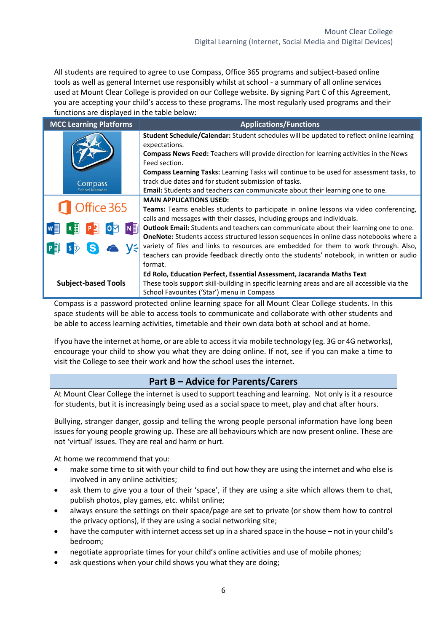All students are required to agree to use Compass, Office 365 programs and subject-based online tools as well as general Internet use responsibly whilst at school - a summary of all online services used at Mount Clear College is provided on our College website. By signing Part C of this Agreement, you are accepting your child's access to these programs. The most regularly used programs and their functions are displayed in the table below:

| <b>MCC Learning Platforms</b> | <b>Applications/Functions</b>                                                                                                                                                                                    |  |  |
|-------------------------------|------------------------------------------------------------------------------------------------------------------------------------------------------------------------------------------------------------------|--|--|
|                               | <b>Student Schedule/Calendar:</b> Student schedules will be updated to reflect online learning<br>expectations.<br><b>Compass News Feed:</b> Teachers will provide direction for learning activities in the News |  |  |
|                               | Feed section.                                                                                                                                                                                                    |  |  |
|                               | <b>Compass Learning Tasks:</b> Learning Tasks will continue to be used for assessment tasks, to                                                                                                                  |  |  |
| Compass                       | track due dates and for student submission of tasks.                                                                                                                                                             |  |  |
| School Manager                | <b>Email:</b> Students and teachers can communicate about their learning one to one.                                                                                                                             |  |  |
|                               | <b>MAIN APPLICATIONS USED:</b>                                                                                                                                                                                   |  |  |
| Office 365                    | Teams: Teams enables students to participate in online lessons via video conferencing,                                                                                                                           |  |  |
|                               | calls and messages with their classes, including groups and individuals.                                                                                                                                         |  |  |
| N ∃                           | <b>Outlook Email:</b> Students and teachers can communicate about their learning one to one.                                                                                                                     |  |  |
|                               | <b>OneNote:</b> Students access structured lesson sequences in online class notebooks where a                                                                                                                    |  |  |
|                               | variety of files and links to resources are embedded for them to work through. Also,                                                                                                                             |  |  |
|                               | teachers can provide feedback directly onto the students' notebook, in written or audio                                                                                                                          |  |  |
|                               | format.                                                                                                                                                                                                          |  |  |
|                               | Ed Rolo, Education Perfect, Essential Assessment, Jacaranda Maths Text                                                                                                                                           |  |  |
| <b>Subject-based Tools</b>    | These tools support skill-building in specific learning areas and are all accessible via the                                                                                                                     |  |  |
|                               | School Favourites ('Star') menu in Compass                                                                                                                                                                       |  |  |

Compass is a password protected online learning space for all Mount Clear College students. In this space students will be able to access tools to communicate and collaborate with other students and be able to access learning activities, timetable and their own data both at school and at home.

If you have the internet at home, or are able to access it via mobile technology (eg. 3G or 4G networks), encourage your child to show you what they are doing online. If not, see if you can make a time to visit the College to see their work and how the school uses the internet.

# **Part B – Advice for Parents/Carers**

At Mount Clear College the internet is used to support teaching and learning. Not only is it a resource for students, but it is increasingly being used as a social space to meet, play and chat after hours.

Bullying, stranger danger, gossip and telling the wrong people personal information have long been issues for young people growing up. These are all behaviours which are now present online. These are not 'virtual' issues. They are real and harm or hurt.

At home we recommend that you:

- make some time to sit with your child to find out how they are using the internet and who else is involved in any online activities;
- ask them to give you a tour of their 'space', if they are using a site which allows them to chat, publish photos, play games, etc. whilst online;
- always ensure the settings on their space/page are set to private (or show them how to control the privacy options), if they are using a social networking site;
- have the computer with internet access set up in a shared space in the house not in your child's bedroom;
- negotiate appropriate times for your child's online activities and use of mobile phones;
- ask questions when your child shows you what they are doing;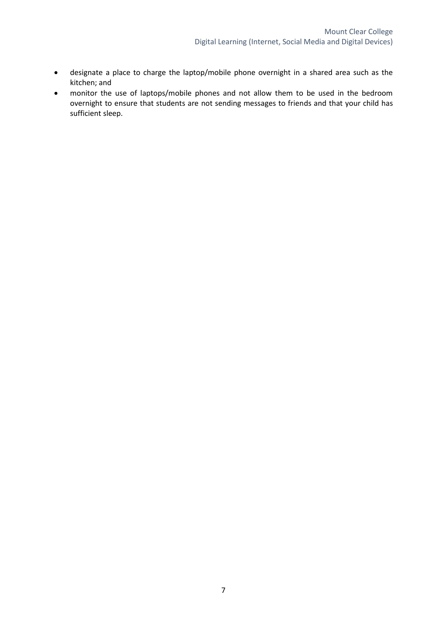- designate a place to charge the laptop/mobile phone overnight in a shared area such as the kitchen; and
- monitor the use of laptops/mobile phones and not allow them to be used in the bedroom overnight to ensure that students are not sending messages to friends and that your child has sufficient sleep.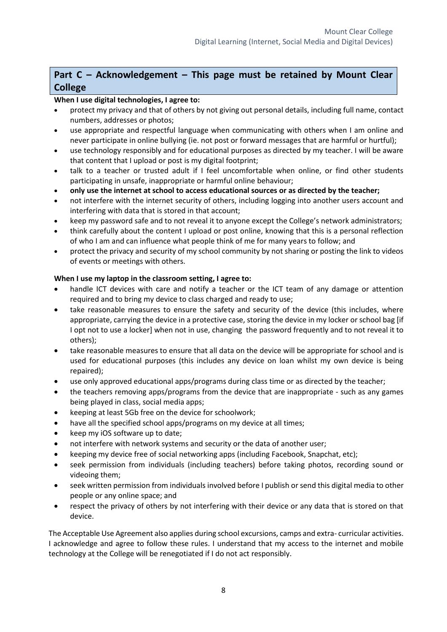# **Part C – Acknowledgement – This page must be retained by Mount Clear College**

## **When I use digital technologies, I agree to:**

- protect my privacy and that of others by not giving out personal details, including full name, contact numbers, addresses or photos;
- use appropriate and respectful language when communicating with others when I am online and never participate in online bullying (ie. not post or forward messages that are harmful or hurtful);
- use technology responsibly and for educational purposes as directed by my teacher. I will be aware that content that I upload or post is my digital footprint;
- talk to a teacher or trusted adult if I feel uncomfortable when online, or find other students participating in unsafe, inappropriate or harmful online behaviour;
- **only use the internet at school to access educational sources or as directed by the teacher;**
- not interfere with the internet security of others, including logging into another users account and interfering with data that is stored in that account;
- keep my password safe and to not reveal it to anyone except the College's network administrators;
- think carefully about the content I upload or post online, knowing that this is a personal reflection of who I am and can influence what people think of me for many years to follow; and
- protect the privacy and security of my school community by not sharing or posting the link to videos of events or meetings with others.

### **When I use my laptop in the classroom setting, I agree to:**

- handle ICT devices with care and notify a teacher or the ICT team of any damage or attention required and to bring my device to class charged and ready to use;
- take reasonable measures to ensure the safety and security of the device (this includes, where appropriate, carrying the device in a protective case, storing the device in my locker or school bag [if I opt not to use a locker] when not in use, changing the password frequently and to not reveal it to others);
- take reasonable measures to ensure that all data on the device will be appropriate for school and is used for educational purposes (this includes any device on loan whilst my own device is being repaired);
- use only approved educational apps/programs during class time or as directed by the teacher;
- the teachers removing apps/programs from the device that are inappropriate such as any games being played in class, social media apps;
- keeping at least 5Gb free on the device for schoolwork;
- have all the specified school apps/programs on my device at all times;
- keep my iOS software up to date;
- not interfere with network systems and security or the data of another user;
- keeping my device free of social networking apps (including Facebook, Snapchat, etc);
- seek permission from individuals (including teachers) before taking photos, recording sound or videoing them;
- seek written permission from individuals involved before I publish or send this digital media to other people or any online space; and
- respect the privacy of others by not interfering with their device or any data that is stored on that device.

The Acceptable Use Agreement also applies during school excursions, camps and extra- curricular activities. I acknowledge and agree to follow these rules. I understand that my access to the internet and mobile technology at the College will be renegotiated if I do not act responsibly.